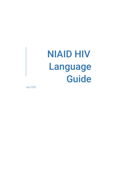# NIAID HIV Language Guide

July 2020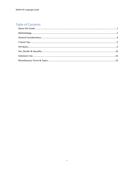# Table of Contents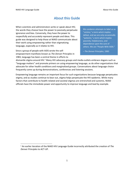# About this Guide

<span id="page-2-0"></span>When scientists and administrators write or speak about HIV, the words they choose have the power to passively perpetuate ignorance and bias. Conversely, they have the power to respectfully and accurately represent people and ideas. This guide was designed to help those at NIAID communicate about their work using empowering rather than stigmatizing language, especially as it relates to HIV.

Since a group of people with AIDS wrote the selfempowerment manifesto known as *The Denver Principles* in 1983, language has been a central theme in efforts to

We condemn attempts to label us as "victims," a term which implies defeat, and we are only occasionally "patients," a term which implies passivity, helplessness, and dependence upon the care of others. We are "People With AIDS."

– *The Denver Principles*, 1983

dismantle stigma around HIV.<sup>1</sup> Many HIV advocacy groups and media outlets embrace slogans such as "language matters" and promote primers on using empowering language, as do other organizations that advocate for other health conditions and marginalized groups. Conversations about language choice frequently come up during demonstrations, conferences and listening sessions.

Empowering language remains an important focus for such organizations because language perpetuates stigma, and as studies continue to bear out, stigma helps perpetuate the HIV epidemic. While many factors that contribute to health-related and societal stigmas are entrenched and systemic, NIAID officials have the immediate power and opportunity to improve language and lead by example.

<sup>1</sup> An earlier iteration of the NIAID HIV Language Guide incorrectly attributed the creation of *The Denver Principles* to ACT-UP.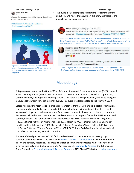#### NIAID HIV Language Guide Methodology and the Methodology of the Methodology of Methodology



Dric HIV Adoni\_Official

Change the language to end HIV stigma. Hope I have communicated clearly.

#YPlusPageant19 #PeersMakingItHappen #NdiMusogaLivingWithHIV



*Ugandan advocate Dric Adoni tweets about stigmatizing language around HIV from a popular youth HIV awareness event, the Y Plus Beauty Pageant.*

Silvia @HIV\_SpeakingUp · Jun 22, 2017 There are not "difficult to reach people' only services which are not well designed, #language is part of creating #stigma #NHIVNA #HIV

*Tweeting from a 2017 National HIV Nurses Association meeting, UK-based HIV advocate Silvia Petretti makes the point that "difficult to reach people" puts the onus of obtaining HIV services on individuals facing adversity rather than on public health efforts.*



Morenike Giwa Unaiwu @MorenikeGU · 23 Jun 2018 OMG! The current #ACTG2018 plenary presenter stopped herself in mid-sentence from almost saying "HIV-infected" participants & changed it to "participants with HIV. OV

@ACTGNetwork is embracing inclusion & making efforts to avoid #HIV stigmatizing terms! TY! #LanguageMatters

*This tweet from American educator and autism and HIV advocate Morénike Giwa Onaiwu complimented person-first language used by a presenter at ACTG 2018.*

# **Methodology**

<span id="page-3-0"></span>This guide was created by the NIAID Office of Communications & Government Relations (OCGR) News & Science Writing Branch (NSWB) with input from the Division of AIDS (DAIDS) Workforce Operations, Communications, and Reporting Branch (WOCRB). This guide is a living document, subject to change as language standards in various fields may evolve. This guide was last updated on February 19, 2020.

Before finalizing the first version, multiple representatives from NIH, other public health organizations and community-based advocacy groups had the opportunity to review and contribute to relevant sections of this guide to help ensure scientific accuracy, community buy-in, and cultural competence. Reviewers included subject matter experts and communications experts from other NIH institutes and centers, including the National Institute of Mental Health (NIMH), National Institute of Drug Abuse (NIDA), National Institute of Alcohol Abuse and Alcoholism (NIAAA), National Institute on Minority Health and Health Disparities (NIMHD), the NIH Office of Research on Women's Health (ORWH) and the NIH Sexual & Gender Minority Research Office (SGMRO). Multiple DAIDS officials, including leaders in the Office of the Director, were also consulted.

For a non-federal perspective, WOCRB facilitated review of this document by a diverse group of community members serving the NIH-funded HIV/AIDS [Clinical Trials Networks](https://www.niaid.nih.gov/research/hivaids-clinical-trials-networks) in various community liaison and advisory capacities. This group consisted of community advocates who are or have been involved with Networks' Global Community Advisory Boards, [Community Partners,](https://www.niaid.nih.gov/research/community-partners) the Tuberculosis Trials Consortium [Community Research Advisors Group,](http://www.treatmentactiongroup.org/tb/community-engagement/crag) the AIDS Clinical Trials Grou[p Underrepresented](https://actgnetwork.org/underrepresented-populations/) 

This guide includes language suggestions for communicating about HIV and related topics. Below are a few examples of the impact such language can have.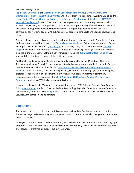#### NIAID HIV Language Guide

[Populations Committee,](https://actgnetwork.org/underrepresented-populations/) the [Women's Health Collaborative Study Group](https://actgnetwork.org/actg-committees-and-centers/) (formerly know as the Women's Inter-Network Scientific Committee), the Cross-Network Transgender Working Group, and the [Legacy Project Working Group](https://www.hanc.info/coordination-areas/community.html#lp) and [Women's HIV Research Collaborative](https://www.hanc.info/coordination-areas/community.html#lp) of th[e Office of HIV/AIDS](https://www.hanc.info/)  [Network Coordination](https://www.hanc.info/) (HANC). We extend our sincere gratitude to all community reviewers, which included people living with HIV, people in communities disproportionately affected by HIV, citizens of the Global South, people of color, cisgender women, transgender people, people in the LGBTQ community, sex workers, people with substance use disorder, older people and young people, among others.

A variety of source materials were consulted in the writing of this language guide. Notably, the Centers for Disease Control and Prevention's [HIV Stigma Language Guide](https://www.cdc.gov/stophivtogether/campaigns/hiv-stigma/stop-hiv-stigma/index.html#Stigma-Language-Guide) and "Why Language Matters: Facing HIV Stigma in Our Own Words" by [Vickie Lynn,](https://www.thewellproject.org/team-member/vickie-lynn) Ph.D., MSW, MPH, and other members o[f the Well](https://www.thewellproject.org/hiv-information/why-language-matters-facing-hiv-stigma-our-own-words)  [Project](https://www.thewellproject.org/hiv-information/why-language-matters-facing-hiv-stigma-our-own-words) have been a tremendously valuable resources on stigmatizing language around HIV. Materials included in the University of California San Francisco HIVE Online [#LanguageMatters campaign](https://hiveonline.org/language-matters/) also informed this "HIV Basics" chapter of this guide and beyond.

Additionally, guidance documents and learning modules compiled by the DAIDS Cross-Network Transgender Working Group informed language standards around sex and gender in this guide's "Sex, Gender & Sexuality" chapter. Specifically, "[Guidance on the Use of Gender-Inclusive HIV Research](https://www.hanc.info/content/dam/hanc/documents/community/Guidance-on-the-Use-of-Gender-Inclusive-HIV-Research-Practices-March-2020.pdf)  [Practices](https://www.hanc.info/content/dam/hanc/documents/community/Guidance-on-the-Use-of-Gender-Inclusive-HIV-Research-Practices-March-2020.pdf)" and its Appendix, "Use of Non-Stigmatizing, Gender Inclusive Language," outlined language preferences reiterated in this document. The Working Group drew on insights of community representatives of trans experience. The 2019-2023 Trans-[NIH Strategic Plan for Women's Health](https://orwh.od.nih.gov/sites/orwh/files/docs/ORWH_Strategic_Plan_2019_02_21_19_V2_508C.pdf)  [Research,](https://orwh.od.nih.gov/sites/orwh/files/docs/ORWH_Strategic_Plan_2019_02_21_19_V2_508C.pdf) compiled by ORWH, also informed this chapter.

Language guidance for the "Substance Use" was informed by a 2017 Office of National Drug Control Policy [memorandum](https://www.opioidlibrary.org/wp-content/uploads/2019/08/ONCP_Language.pdf) entitled, "Changing Federal Terminology Regarding Substance Use and Substance Use Disorders," as well as by [training resources](https://www.samhsa.gov/sites/default/files/programs_campaigns/02._webcast_1_resources-508.pdf) compiled by the Substance Abuse and Mental Health Services Administration and its partners.

### **Limitations**

The language preferences described in this guide apply primarily to English speakers in the United States. Language preferences may vary in a global context. Translation can also change the connotation of certain phrases.

While great care was taken to incorporate many perspectives from the community, individual language preferences vary. Similarly, while OCGR and WOCRB will continually review this document for accuracy and relevance, preferred language is subject to change.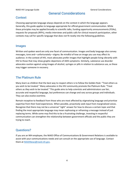# General Considerations

#### <span id="page-5-0"></span>**Context**

Choosing appropriate language always depends on the context in which the language appears. Generally, this guide applies to language appropriate for official government communication. While these principles may be applied broadly to scientific talks, funding opportunity announcements (FOAs), requests for proposals (RFPs), media interviews and public calls for clinical research participation, other contexts may call for specific language that does not fit neatly into the following guidelines.

#### Images

Written and spoken word are only one facet of communication. Images and body language also convey messages, tone and—unfortunately—stigma. Be mindful of how an image you use may affect its audience. In the context of HIV, most advocates prefer images that highlight people living vibrantly with HIV to those that may show graphic depictions of AIDS symptoms. Similarly, substance use disorder advocates caution against using images of alcohol, syringes or pills in relation to substance use, as these may trigger someone in recovery.

## The Platinum Rule

Many learn as children that the best way to respect others is to follow the Golden Rule: "Treat others as you wish to be treated." Many advocates in the HIV community promote the Platinum Rule: "Treat others as *they* wish to be treated." This guide aims to help scientists and administrators use fair, accurate and respectful language, but preferences can change and vary across groups and individuals. They can also evolve overtime.

Remain receptive to feedback from those who are most affected by stigmatizing language and prioritize expertise from their lived experiences. When possible, proactively seek input from marginalized voices. Recognize that there may not be a universal "right" answer for how to discuss a certain topic and that finding the most appropriate language may mean rephrasing or reframing a message instead of just replacing terms. While some may find this to be a frustrating challenge, investing in respectful communication can strengthen the relationship between government officials and the public they are trying to reach.

### Questions?

If you are an NIH employee, the NIAID Office of Communications & Government Relations is available to assist with your communications needs and can consult on the appropriate use of language. Contact them a[t NIAIDNews@niaid.nih.gov.](mailto:NIAIDNews@niaid.nih.gov)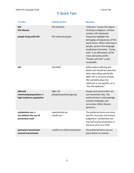# 5 Quick Tips

<span id="page-6-0"></span>

| Try this                                                         | <b>Instead of this</b>                      | <b>Because</b>                                                                                                                                                                                                                                                                                                                                                      |
|------------------------------------------------------------------|---------------------------------------------|---------------------------------------------------------------------------------------------------------------------------------------------------------------------------------------------------------------------------------------------------------------------------------------------------------------------------------------------------------------------|
| <b>HIV</b><br><b>HIV disease</b><br>people living with HIV       | <b>HIV</b> infection<br>HIV-infected people | "Infection" carries the stigma<br>of being contagious, a threat,<br>unclean. HIV advocates<br>frequently highlight the<br>damaging consequences of this<br>word choice. When referring to<br>people, person-first language<br>emphasizes humanity. "Living<br>with" is an affirmation of life<br>many advocates prefer.<br>"People with HIV" is also<br>acceptable. |
| <b>HIV</b>                                                       | HIV/AIDS                                    | AIDS evokes suffering and<br>death and should be used only<br>when describing specifically<br>AIDS. HIV is inclusive of both<br>HIV and AIDS when the<br>reference is not specific, as in<br>"the HIV epidemic."                                                                                                                                                    |
| affected<br>community/population or<br>high-incidence population | high-risk<br>people/population/group        | People and communities are<br>not inherently risky. The<br>preferred terms acknowledge<br>societal challenges and<br>accurately reflect disease<br>dynamics.                                                                                                                                                                                                        |
| condomless sex or<br>sex without the use of<br>prevention tools  | unprotected sex<br>unsafe sex               | The preferred terms are more<br>specific, accurate and remove<br>judgement. Condomless sex<br>may still involve protection in<br>the form of U=U or PrEP.                                                                                                                                                                                                           |
| perinatal transmission<br>vertical transmission                  | mother-to-child transmission                | The preferred terms do not<br>place blame on women.                                                                                                                                                                                                                                                                                                                 |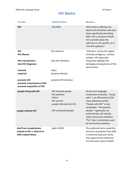# **HIV Basics**

<span id="page-7-0"></span>

| Try this                                                                               | <b>Instead of this</b>                                                                                                                   | <b>Because</b>                                                                                                                                                                                                                          |
|----------------------------------------------------------------------------------------|------------------------------------------------------------------------------------------------------------------------------------------|-----------------------------------------------------------------------------------------------------------------------------------------------------------------------------------------------------------------------------------------|
| <b>HIV</b>                                                                             | HIV/AIDS                                                                                                                                 | AIDS evokes suffering and<br>death and should be used only<br>when specifically describing<br>AIDS. HIV is inclusive of both<br>HIV and AIDS when the<br>reference is not specific, as in<br>"the HIV epidemic."                        |
| <b>HIV</b><br><b>HIV disease</b>                                                       | <b>HIV</b> infection                                                                                                                     | "Infection" carries the stigma<br>of being contagious, a threat,<br>unclean. HIV advocates                                                                                                                                              |
| <b>HIV transmissions</b><br>new HIV diagnoses                                          | new HIV infections                                                                                                                       | frequently highlight the<br>damaging consequences of this<br>word choice.                                                                                                                                                               |
| transmit                                                                               | infect                                                                                                                                   |                                                                                                                                                                                                                                         |
| acquired                                                                               | became infected                                                                                                                          |                                                                                                                                                                                                                                         |
| prevents HIV<br>prevents transmission of HIV<br>prevents acquisition of HIV            | prevents HIV infection                                                                                                                   |                                                                                                                                                                                                                                         |
| people living with HIV<br>people without HIV                                           | HIV-infected people<br><b>HIV positives</b><br><b>HIVers</b><br><b>HIV carriers</b><br>people infected with HIV<br>HIV-uninfected people | Person-first language<br>emphasizes humanity. "Living<br>with" is an affirmation of life<br>many advocates prefer.<br>"People with HIV" is also<br>acceptable. "HIV-positive<br>people" is generally not<br>preferred but still used by |
|                                                                                        |                                                                                                                                          | some community members.<br>"Poz" also is sometimes used<br>by community members.                                                                                                                                                        |
| died from complications<br>related to HIV or died of an<br><b>AIDS-related illness</b> | died of AIDS                                                                                                                             | The preferred terms avoid the<br>incorrect assumption that AIDS<br>is uniformly fatal and clarify<br>that opportunistic infections<br>are the acute cause of death.                                                                     |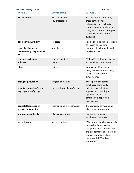| NIAID HIV Language Guide                          |                                                  | <b>HIV Basics</b>                                                                                                                                                                                         |
|---------------------------------------------------|--------------------------------------------------|-----------------------------------------------------------------------------------------------------------------------------------------------------------------------------------------------------------|
| Try this                                          | Instead of this                                  | Because                                                                                                                                                                                                   |
| <b>HIV response</b>                               | <b>HIV</b> elimination<br><b>HIV</b> eradication | To some in the community,<br>these terms have a<br>paternalistic and militaristic<br>connotation and imply people<br>living with HIV must disappear<br>to achieve an end to the<br>epidemic.              |
| people living with HIV<br>new HIV diagnoses       | <b>HIV cases</b><br>new HIV cases                | People should not be described<br>as "case," as this term<br>deemphasizes humanity and                                                                                                                    |
| people newly diagnosed with<br><b>HIV</b>         |                                                  | implies burden.                                                                                                                                                                                           |
| research participant<br>volunteer                 | research subject<br>patient                      | "Subject" is dehumanizing. Not<br>all participants are patients.                                                                                                                                          |
| client                                            | patient                                          | When describing a person<br>using the healthcare system,<br>"client" is considered<br>empowering.                                                                                                         |
| engage a population                               | target a population                              | These preferred terms<br>emphasize community-                                                                                                                                                             |
| priority population/group<br>key population/group | target(ed) population/group                      | oriented, participatory<br>approaches to ending an<br>epidemic, instead of<br>paternalistic, top-down<br>approaches.                                                                                      |
| perinatal transmission<br>vertical transmission   | mother-to-child transmission                     | The preferred terms do not<br>place blame on women.                                                                                                                                                       |
| infant exposed to HIV                             | HIV-exposed infant                               | Person-first language<br>emphasizes humanity.                                                                                                                                                             |
| sero-different                                    | sero-discordant                                  | "Discordant" implies a couple is<br>unsuitable for each other.<br>"Magnetic" and "mixed status"<br>are also terms used to describe<br>couples comprised of one<br>person with HIV and one<br>without HIV. |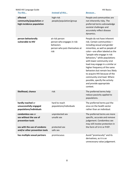| NIAID HIV Language Guide                                                                                                        |                                                                                                    | <b>HIV Basics</b>                                                                                                                                                                                                                                                                                                                                                                                                                                                                                           |
|---------------------------------------------------------------------------------------------------------------------------------|----------------------------------------------------------------------------------------------------|-------------------------------------------------------------------------------------------------------------------------------------------------------------------------------------------------------------------------------------------------------------------------------------------------------------------------------------------------------------------------------------------------------------------------------------------------------------------------------------------------------------|
| Try this                                                                                                                        | Instead of this                                                                                    | <b>Because</b>                                                                                                                                                                                                                                                                                                                                                                                                                                                                                              |
| affected<br>community/population or<br>high-incidence population                                                                | high-risk<br>people/population/group                                                               | People and communities are<br>not inherently risky. The<br>preferred terms acknowledge<br>societal challenges and<br>accurately reflect disease<br>dynamics.                                                                                                                                                                                                                                                                                                                                                |
| person behaviorally<br>vulnerable to HIV                                                                                        | at-risk person<br>person who engages in risk<br>behaviors<br>person who puts themselves at<br>risk | People do not have inherent<br>risk. Certain communities-<br>including sexual and gender<br>minorities, as well as people of<br>color-are often labeled as the<br>"people who engage in risk<br>behaviors," while populations<br>with lower community viral<br>load may engage in a similar or<br>higher frequency of the same<br>behaviors but remain less likely<br>to acquire HIV because of the<br>community viral load. Where<br>possible, specify the activity<br>and provide appropriate<br>context. |
| likelihood, chance                                                                                                              | risk                                                                                               | The preferred terms help<br>reduce passivity applied to<br>populations.                                                                                                                                                                                                                                                                                                                                                                                                                                     |
| hardly reached or<br>unsuccessfully engaged<br>populations/individuals                                                          | hard to reach<br>populations/individuals                                                           | The preferred terms put the<br>onus on the health sector<br>rather than an individual.                                                                                                                                                                                                                                                                                                                                                                                                                      |
| condomless sex or<br>sex without the use of<br>prevention tools<br>sex with the use of condoms<br>and/or other prevention tools | unprotected sex<br>unsafe sex<br>protected sex<br>safe sex                                         | The preferred terms are more<br>specific, accurate and remove<br>judgement. Condomless sex<br>may still involve protection in<br>the form of U=U or PrEP.                                                                                                                                                                                                                                                                                                                                                   |
| has multiple sexual partners                                                                                                    | promiscuous                                                                                        | Avoid "promiscuity" and its<br>derivatives, as it is an<br>unnecessary value judgement.                                                                                                                                                                                                                                                                                                                                                                                                                     |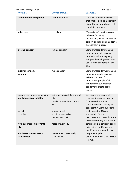| NIAID HIV Language Guide                                     |                                                                                             | <b>HIV Basics</b>                                                                                                                                                             |
|--------------------------------------------------------------|---------------------------------------------------------------------------------------------|-------------------------------------------------------------------------------------------------------------------------------------------------------------------------------|
| Try this                                                     | Instead of this                                                                             | <b>Because</b>                                                                                                                                                                |
| treatment non-completion                                     | treatment default                                                                           | "Default" is a negative term<br>that implies a value judgement<br>about the person who did not<br>complete treatment.                                                         |
| adherence                                                    | compliance                                                                                  | "Compliance" implies passive<br>behavior/following<br>instructions, while "adherence"<br>acknowledges a person's active<br>engagement in care.                                |
| internal condom                                              | female condom                                                                               | Some transgender men and<br>nonbinary people may use<br>internal condoms vaginally,<br>and people of all genders can<br>use internal condoms for anal<br>sex.                 |
| external condom<br>condom                                    | male condom                                                                                 | Some transgender women and<br>nonbinary people may use<br>external condoms for<br>intercourse; people of all<br>genders may cut external<br>condoms to create dental<br>dams. |
| [people with undetectable viral<br>load] do not transmit HIV | extremely unlikely to transmit<br><b>HIV</b><br>nearly impossible to transmit<br><b>HIV</b> | Describe the principal of<br>treatment as prevention, or<br>"Undetectable equals<br>Untransmittable" clearly and<br>consistently. Using qualifiers                            |
| no risk<br>zero risk                                         | almost no risk<br>greatly reduces risk<br>close to zero risk                                | that suggest U=U is only<br>somewhat effective is<br>inaccurate and is seen by some<br>in the community as a result of                                                        |
| [viral suppression] prevents<br><b>HIV</b>                   | helps prevent HIV                                                                           | paternalistic mistrust of people<br>living with HIV. Unnecessary<br>qualifiers also stigmatize by                                                                             |
| eliminates onward sexual<br>transmission                     | makes it hard to sexually<br>transmit HIV                                                   | perpetuating the<br>overestimation of transmission<br>HIV risk.                                                                                                               |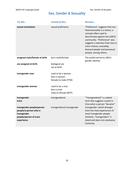# Sex, Gender & Sexuality

<span id="page-11-0"></span>

| Try this                                                                                                   | <b>Instead of this</b>                                     | Because                                                                                                                                                                                                                                                                               |
|------------------------------------------------------------------------------------------------------------|------------------------------------------------------------|---------------------------------------------------------------------------------------------------------------------------------------------------------------------------------------------------------------------------------------------------------------------------------------|
| sexual orientation                                                                                         | sexual preference                                          | "Preference" suggests that non-<br>heterosexuality is a choice, a<br>concept often used to<br>discriminate against the LGBTQ<br>community. "Preference" also<br>suggests a selection from two or<br>more choices, excluding<br>bisexual people and pansexual<br>people, among others. |
| assigned male/female at birth                                                                              | born male/female                                           | The preferred terms affirm<br>gender identity.                                                                                                                                                                                                                                        |
| sex assigned at birth                                                                                      | biological sex<br>sex at birth                             |                                                                                                                                                                                                                                                                                       |
| transgender man                                                                                            | used to be a woman<br>born a woman<br>female-to-male (FTM) |                                                                                                                                                                                                                                                                                       |
| transgender woman                                                                                          | used to be a man<br>born a man<br>male-to-female (MTF)     |                                                                                                                                                                                                                                                                                       |
| transgender<br>trans                                                                                       | transgendered                                              | "Transgendered" is a dated<br>term that suggests a point in<br>time when a person "became"                                                                                                                                                                                            |
| transgender people/person<br>people/a person who is<br>transgender<br>people/person of trans<br>experience | transgenders/a transgender                                 | transgender, which diverges<br>from the lived experiences of<br>most transgender people.<br>Similarly, "transgenders" is<br>dated and does not emphasize<br>humanity.                                                                                                                 |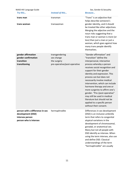| NIAID HIV Language Guide                                                                          |                                                                             | Sex, Gender & Sexuality                                                                                                                                                                                                                                                                                                                                                                                                                                                                                                                |
|---------------------------------------------------------------------------------------------------|-----------------------------------------------------------------------------|----------------------------------------------------------------------------------------------------------------------------------------------------------------------------------------------------------------------------------------------------------------------------------------------------------------------------------------------------------------------------------------------------------------------------------------------------------------------------------------------------------------------------------------|
| Try this                                                                                          | <b>Instead of this</b>                                                      | <b>Because</b>                                                                                                                                                                                                                                                                                                                                                                                                                                                                                                                         |
| trans man                                                                                         | transman                                                                    | "Trans" is an adjective that<br>helps describe someone's                                                                                                                                                                                                                                                                                                                                                                                                                                                                               |
| trans woman                                                                                       | transwoman                                                                  | gender identity, and it should<br>be treated like other adjectives.<br>Merging the adjective and the<br>noun risks suggesting that a<br>trans man or woman is more (or<br>less) than just a man or just a<br>woman, which goes against how<br>many trans people identify<br>themselves.                                                                                                                                                                                                                                                |
| gender affirmation<br>gender confirmation<br>transition<br>transitioning                          | transgendering<br>sex change<br>the surgery<br>pre-operative/post-operative | "Gender affirmation" and<br>"transition" define the<br>interpersonal, interactive<br>process whereby a person<br>receives social recognition and<br>support for their gender<br>identity and expression. This<br>process can but does not<br>necessarily involve medical<br>intervention, which can include<br>hormone therapy and one or<br>more surgeries to affirm one's<br>gender. "Pre-/post-operative"<br>may still be used in medical<br>literature but should not be<br>applied to a specific person<br>without their consent. |
| person with a difference in sex<br>development (DSD)<br>intersex person<br>person who is intersex | hermaphrodite                                                               | Differences in sex development<br>(DSD) is an inclusive umbrella<br>term that refers to congenital<br>atypical variations in the<br>development of chromosomal,<br>gonadal, or anatomical sex.<br>Many but not all people with<br>DSD identify as intersex. When<br>using the term intersex, also use<br>and define DSD. Classical<br>understandings of the term<br>"hermaphrodite" are usually                                                                                                                                        |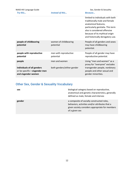| NIAID HIV Language Guide                                                          |                                    | Sex, Gender & Sexuality                                                                                                                                                                                                              |
|-----------------------------------------------------------------------------------|------------------------------------|--------------------------------------------------------------------------------------------------------------------------------------------------------------------------------------------------------------------------------------|
| Try this                                                                          | <b>Instead of this</b>             | Because                                                                                                                                                                                                                              |
|                                                                                   |                                    | limited to individuals with both<br>traditionally male and female<br>anatomical features,<br>particularly genitalia. This term<br>also is considered offensive<br>because of its mythical origin<br>and historically derogatory use. |
| people of childbearing<br>potential                                               | women of childbearing<br>potential | People of all genders and sexes<br>may have childbearing<br>potential.                                                                                                                                                               |
| people with reproductive<br>potential                                             | men with reproductive<br>potential | People of all gender may have<br>reproductive potential.                                                                                                                                                                             |
| people                                                                            | men and women                      | Using "men and women" as a<br>proxy for "everyone" excludes                                                                                                                                                                          |
| individuals of all genders<br>or be specific-cisgender men<br>and cisgender women | both genders/either gender         | transgender people, nonbinary<br>people and other sexual and<br>gender minorities.                                                                                                                                                   |

# Other Sex, Gender & Sexuality Vocabulary

| sex    | biological category based on reproductive,<br>anatomical and genetic characteristics, generally<br>defined as male, female and intersex                           |
|--------|-------------------------------------------------------------------------------------------------------------------------------------------------------------------|
| gender | a composite of socially constructed roles,<br>behaviors, activities and/or attributes that a<br>given society considers appropriate for members<br>of a given sex |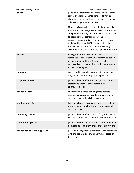| NIAID HIV Language Guide<br>queer | Sex, Gender & Sexuality<br>people who identify as queer may think of their<br>sexual orientation and/or gender identity as<br>characterized by non-binary constructs of sexual<br>orientation, gender and/or sex                                                                                                                                                                                      |
|-----------------------------------|-------------------------------------------------------------------------------------------------------------------------------------------------------------------------------------------------------------------------------------------------------------------------------------------------------------------------------------------------------------------------------------------------------|
|                                   | (The term is considered more fluid and inclusive<br>than traditional categories for sexual orientation<br>and gender identity, and some even use the term<br>to describe their political beliefs. Once<br>considered a pejorative term, queer has been<br>reclaimed by some LGBT people to describe<br>themselves; however, it is not a universally<br>accepted term even within the LGBT community.) |
| bisexual                          | having the potential to be emotionally,<br>romantically and/or sexually attracted to people<br>of the same and different gender-not<br>necessarily at the same time, in the same way or<br>to the same degree                                                                                                                                                                                         |
| pansexual                         | not limited in sexual attraction with regard to<br>sex, gender identity or gender expression                                                                                                                                                                                                                                                                                                          |
| cisgender person                  | person who identifies with the gender that was<br>assigned to them at birth; sometimes<br>abbreviated as cis                                                                                                                                                                                                                                                                                          |
| gender identity                   | an individual's sense of being male, female,<br>intersex, genderqueer, gender nonconforming,<br>etc.; not necessarily visible to others                                                                                                                                                                                                                                                               |
| gender expression                 | how one chooses to convey one's gender identity<br>through behavior, clothing and other external<br>characteristics                                                                                                                                                                                                                                                                                   |
| nonbinary person                  | person who identifies outside of a gender binary<br>by seeing themselves as neither male nor female                                                                                                                                                                                                                                                                                                   |
| genderqueer person                | person who does not identify as a man or woman<br>or subscribe to conventional gender distinctions                                                                                                                                                                                                                                                                                                    |
| gender non-conforming person      | person whose gender expression is not consistent<br>with the societal or cultural norms expected of<br>that gender                                                                                                                                                                                                                                                                                    |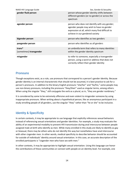| NIAID HIV Language Guide | Sex, Gender & Sexuality                                                                                                                                                          |
|--------------------------|----------------------------------------------------------------------------------------------------------------------------------------------------------------------------------|
| gender fluid person      | person whose gender identity shifts between<br>different genders (or no gender) or across the<br>spectrum                                                                        |
| agender person           | person who does not identify with any gender;<br>agender people may wish to have no gender<br>expression at all, which many find difficult to<br>achieve in our gendered society |
| bigender person          | person who identifies as two genders                                                                                                                                             |
| pangender person         | person who identifies as all genders                                                                                                                                             |
| trans*                   | an umbrella term that refers to many identities                                                                                                                                  |
| [sometimes] transgender  | within the gender identity spectrum                                                                                                                                              |
| misgender                | to refer to someone, especially a transgender<br>person, using a word or address that does not<br>correctly reflect their gender identity                                        |

#### **Pronouns**

Though exceptions exist, as a rule, use pronouns that correspond to a person's gender identity. Because gender identity is an internal characteristic that should not be assumed, it is best practice to ask for a person's pronouns. In addition to the binary English pronouns "she/her" and "he/his," some people may use non-binary pronouns, including the pronouns "they/their" used as singular terms, among others. When using the singular "they," still conjugate the verb as a plural, as in, "they are gender nonbinary."

It is considered by some to be extremely offensive and even violent to misgender someone by using inappropriate pronouns. When writing about a hypothetical person, like an anonymous participant in a study enrolling people of all genders, use the singular "they" rather than "he or she" to be inclusive.

# Identity & Specificity

In certain contexts, it may be appropriate to use language that explicitly references sexual behaviors instead of referencing sexual orientations and gender identities. For example, a study may evaluate the ability of an experimental modality to prevent HIV transmission during anal intercourse between people assigned male at birth who identify as men. While many enrolled in this study are likely to identify as gay or bisexual, there may be others who do not identify this way but nonetheless have anal intercourse with other cisgender men. In other words, medical specificity to describe behavior should be accounted for outside of individuals' identity around sexual orientation. In this case, an accurate description of the enrolled participants is "cisgender men who have sex with men."

In other contexts, it may be appropriate to highlight sexual orientation. Using this language can honor the contributions of these communities or connect with people on an identity level. For example, one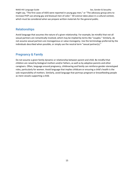NIAID HIV Language Guide Sexteen Sexteen Sex, Gender & Sexuality

might say, "The first cases of AIDS were reported in young gay men," or "The advocacy group aims to increase PrEP use among gay and bisexual men of color." All science takes place in a cultural context, which must be considered when we prepare written materials for the general public.

# Relationships

Avoid language that assumes the nature of a given relationship. For example, be mindful that not all sexual partners are romantically involved, which may be implied by terms like "couples." Similarly, do not assume sexual partners are monogamous or value monogamy. Use the terminology preferred by the individuals described when possible, or simply use the neutral term "sexual partner(s)."

# Pregnancy & Family

Do not assume a given family dynamic or relationship between parent and child. Be mindful that children are raised by biological mothers and/or fathers, as well as by adoptive parents and other caregivers. Often, language around pregnancy, childrearing and family can reinforce gender-stereotyped roles, particularly for women. Avoid language that implies childcare or ensuring a child's health is the sole responsibility of mothers. Similarly, avoid language that portrays pregnant or breastfeeding people as mere vessels supporting a child.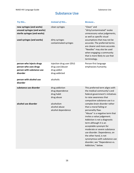# Substance Use

<span id="page-17-0"></span>

| Try this                                                                                   | <b>Instead of this</b>                                                        | <b>Because</b>                                                                                                                                                                                                                                                                                                                                                                                                        |
|--------------------------------------------------------------------------------------------|-------------------------------------------------------------------------------|-----------------------------------------------------------------------------------------------------------------------------------------------------------------------------------------------------------------------------------------------------------------------------------------------------------------------------------------------------------------------------------------------------------------------|
| new syringes (and works)<br>unused syringes (and works)<br>sterile syringes (and works)    | clean syringes                                                                | "Clean" and<br>"dirty/contaminated" evoke<br>unnecessary value judgements,<br>as well as specific visual                                                                                                                                                                                                                                                                                                              |
| used syringes (and works)                                                                  | dirty syringes<br>contaminated syringes                                       | assumptions that may not be<br>accurate. The preferred terms<br>are clearer and more accurate.<br>"Needles" may also be used<br>when engaging a community<br>that is more likely to use that<br>terminology.                                                                                                                                                                                                          |
| person who injects drugs<br>person who uses drugs<br>person with substance use<br>disorder | injection drug user (IDU)<br>drug user/abuser<br>drug addict<br>drug-addicted | Person-first language<br>emphasizes humanity.                                                                                                                                                                                                                                                                                                                                                                         |
| person with alcohol use<br>disorder                                                        | alcoholic                                                                     |                                                                                                                                                                                                                                                                                                                                                                                                                       |
| substance use disorder                                                                     | drug addiction<br>drug dependence<br>drug habit<br>drug abuse                 | This preferred term aligns with<br>the medical community's and<br>federal government's initiatives<br>to raise awareness that<br>compulsive substance use is a                                                                                                                                                                                                                                                        |
| alcohol use disorder                                                                       | alcoholism<br>alcohol abuse<br>alcohol dependence                             | complex brain disorder rather<br>than a moral failing or<br>personality flaw.<br>"Abuse" is a negative term that<br>invites a value judgement.<br>Addiction is not a diagnostic<br>term although it is an<br>acceptable synonym for<br>moderate or severe substance<br>use disorder. Dependence, on<br>the other hand, is not<br>synonymous with substance use<br>disorder; see "Dependence vs.<br>Addiction," below. |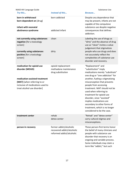| NIAID HIV Language Guide                                                                                                                                                        |                                                                                    | Substance Use                                                                                                                                                                                                                                                                                                                                                                                                                                           |
|---------------------------------------------------------------------------------------------------------------------------------------------------------------------------------|------------------------------------------------------------------------------------|---------------------------------------------------------------------------------------------------------------------------------------------------------------------------------------------------------------------------------------------------------------------------------------------------------------------------------------------------------------------------------------------------------------------------------------------------------|
| Try this                                                                                                                                                                        | <b>Instead of this</b>                                                             | Because                                                                                                                                                                                                                                                                                                                                                                                                                                                 |
| born in withdrawal<br>born dependent on [drug]<br>infant with neonatal<br>abstinence syndrome                                                                                   | born addicted<br>addicted infant                                                   | Despite any dependence that<br>may be present, infants are not<br>capable of the compulsive<br>substance use despite negative<br>consequences that defines<br>addiction.                                                                                                                                                                                                                                                                                |
| not currently using substances<br>negative [for a toxicology<br>screen]                                                                                                         | clean                                                                              | Labeling the use of drugs as<br>"dirty" and the absence of drug<br>use as "clean" invites a value<br>judgement that stigmatizes                                                                                                                                                                                                                                                                                                                         |
| currently using substances<br>positive [for a toxicology<br>screen]                                                                                                             | dirty                                                                              | people who use drugs and does<br>not accurately reflect the<br>complexities of substance use<br>disorder and recovery.                                                                                                                                                                                                                                                                                                                                  |
| medication for opioid use<br>disorder (MOUD)<br>medication-assisted treatment<br>(MAT) [when referring to or<br>inclusive of medications used to<br>treat alcohol use disorder] | opioid replacement<br>methadone maintenance<br>drug substitution                   | "Replacement" and<br>"substitution" imply<br>medications merely "substitute"<br>one drug or "one addiction" for<br>another, fueling a stigmatizing<br>misconception that prevents<br>people from accessing<br>treatment. MAT should not be<br>used when referring to<br>treatment for opioid use<br>disorder, since "assisted"<br>implies medications are<br>secondary to other forms of<br>treatment, which is no longer<br>considered to be the case. |
| treatment center                                                                                                                                                                | rehab<br>detox center                                                              | "Rehab" and "detox center"<br>carry cultural stigmas and<br>misconceptions.                                                                                                                                                                                                                                                                                                                                                                             |
| person in recovery                                                                                                                                                              | former addict/alcoholic<br>recovered addict/alcoholic<br>reformed addict/alcoholic | These person-first terms honor<br>the belief of many clinicians and<br>people with substance use<br>disorder that recovery is an<br>ongoing and variable process.<br>Some individuals may claim a<br>term like "addict," but such                                                                                                                                                                                                                       |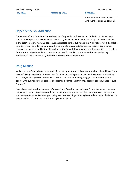terms should not be applied

without that person's consent.

# Dependence vs. Addiction

"Dependence" and "addiction" are related but frequently confused terms. Addiction is defined as a pattern of compulsive substance use—marked by a change in behavior caused by biochemical changes in the brain—despite negative consequences related to that substance use. Addiction is not a diagnostic term but is considered synonymous with moderate to severe substance use disorder. Dependence, however, is characterized by the physical potential for withdrawal symptoms. Importantly, it is possible for someone to be dependent on a substance used for medical purposes without experiencing addiction. It is best to explicitly define these terms or else avoid them.

# Drug Misuse

While the term "drug abuse" is generally frowned upon, there is disagreement about the utility of "drug misuse." Many people find the term helpful when discussing substances that have medical as well as illicit uses, such as prescription opioids. Others claim this terminology suggests fault on the part of people with substance use disorders and creates a stigma that they may deserve consequences of such "misuse."

Regardless, it is important to not use "misuse" and "substance use disorder" interchangeably, as not all people who use substances recreationally experience substance use disorder or require treatment to stop using substances. For example, a single occasion of binge drinking is considered alcohol misuse but may not reflect alcohol use disorder in a given individual.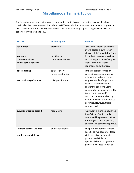# Miscellaneous Terms & Topics

<span id="page-20-0"></span>The following terms and topics were recommended for inclusion in this guide because they have previously arisen in communication related to HIV research. The inclusion of a population or group in this section does not necessarily indicate that this population or group has a high incidence of or is behaviorally vulnerable to HIV.

| Try this                                                               | <b>Instead of this</b>                                      | <b>Because</b>                                                                                                                                                                                                                                                                                                                                                      |
|------------------------------------------------------------------------|-------------------------------------------------------------|---------------------------------------------------------------------------------------------------------------------------------------------------------------------------------------------------------------------------------------------------------------------------------------------------------------------------------------------------------------------|
| sex worker<br>sex work<br>transactional sex<br>sale of sexual services | prostitute<br>prostitution<br>commercial sex work           | "Sex work" implies ownership<br>over a person's own career<br>choice, while "prostitution" and<br>its derivatives carry engrained<br>cultural stigmas. Specifying "sex<br>work" as commercial is<br>redundant and otherizes.                                                                                                                                        |
| sex trafficking<br>sex trafficking of minors                           | sexual slavery<br>forced prostitution<br>child prostitution | In the context of forced or<br>coerced transactional sex by<br>minors, the preferred terms<br>emphasize role of exploiters<br>because children cannot<br>consent to sex work. Some<br>community members prefer the<br>term "youth sex work" to<br>describe transactional sex by<br>minors they feel is not coerced<br>or forced. However, this is<br>controversial. |
| survivor of sexual assault                                             | rape victim                                                 | "Survivor" is more empowering<br>than "victim," which evokes<br>defeat and helplessness. When<br>referring to a specific person,<br>always use a term they approve.                                                                                                                                                                                                 |
| intimate partner violence<br>gender-based violence                     | domestic violence                                           | The preferred terms are more<br>specific to two separate ideas:<br>violence between intimate<br>partners and violence<br>specifically based on gendered<br>power imbalances. They also                                                                                                                                                                              |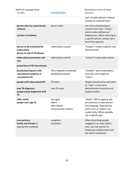| NIAID HIV Language Guide<br>Try this                                                        | <b>Instead of this</b>                                         | Miscellaneous Terms & Topics<br><b>Because</b>                                                                                                                                   |
|---------------------------------------------------------------------------------------------|----------------------------------------------------------------|----------------------------------------------------------------------------------------------------------------------------------------------------------------------------------|
|                                                                                             |                                                                | each include relevant violence<br>outside of a shared home.                                                                                                                      |
| person who has experienced<br>violence<br>survivor of violence                              | abuse victim                                                   | Use more empowering or<br>neutral terms than "victim,"<br>which evokes defeat and<br>helplessness. When referring to<br>a specific person, always use a<br>term they approve.    |
| person to be evaluated for<br>tuberculosis<br>person at risk of TB disease                  | tuberculosis suspect                                           | "Suspect" evokes suspicion and<br>personal fault.                                                                                                                                |
| tuberculosis prevention and<br>care<br>prevention of TB transmission                        | tuberculosis control                                           | "Control" evokes paternalism.                                                                                                                                                    |
| people/participants with<br>concomitant hepatitis or<br>concomitant TB                      | TB or hepatitis coinfected<br>people/participants              | "Coinfect" and its derivatives<br>carry the same stigma as<br>"infect."                                                                                                          |
| people with tuberculosis/TB<br>new TB diagnoses<br>people newly diagnosed with<br><b>TB</b> | TB cases<br>new TB cases                                       | People should not be described<br>as "case," as this term<br>deemphasizes humanity and<br>implies burden.                                                                        |
| older adults<br>people over [age X]                                                         | the aged<br>elders<br>(the) elderly<br>seniors/senior citizens | "Adults" affirms agency and<br>personhood, as does person-<br>first language. Stigmatizing<br>terms such as "elders" can<br>evoke frailty. When possible,<br>use a specific age. |
| care partners<br>family and friends [in<br>appropriate contexts]                            | caregivers<br>caretakers                                       | When describing people<br>engaged in an older adult's<br>care, use care partner to<br>emphasize collaboration and<br>the adult's autonomy.                                       |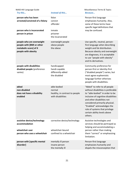| NIAID HIV Language Guide                                                                                |                                                                              | Miscellaneous Terms & Topics                                                                                                                                                                                                                                                                                              |
|---------------------------------------------------------------------------------------------------------|------------------------------------------------------------------------------|---------------------------------------------------------------------------------------------------------------------------------------------------------------------------------------------------------------------------------------------------------------------------------------------------------------------------|
| Try this                                                                                                | Instead of this                                                              | <b>Because</b>                                                                                                                                                                                                                                                                                                            |
| person who has been<br>arrested/convicted of a felony<br>person who is incarcerated<br>person in prison | felon<br>convict<br>offender<br>inmate<br>prisoner<br>the incarcerated       | Person-first language<br>emphasizes humanity. Also,<br>some of these terms have<br>specific legal definitions that<br>may be confused.                                                                                                                                                                                    |
| people who are overweight<br>people with [BMI or other<br>metabolic score] of X<br>people with obesity  | overweight people<br>obese people<br>the obese                               | Use specific, neutral, person-<br>first language when describing<br>weight and fat distribution.<br>Because obesity and overweight<br>are diagnoses, it is acceptable<br>to use "people with obesity"<br>and its derivatives.                                                                                             |
| people with disabilities<br>disabled people (preference<br>varies)                                      | handicapped<br>handi-capable<br>differently-abled<br>the disabled            | Community preference for<br>person-first or identity-first<br>("disabled people") varies, but<br>most agree euphemistic<br>language further otherizes<br>people with disabilities.                                                                                                                                        |
| abled<br>non-disabled<br>does not have a disability<br>enabled                                          | able-bodied<br>normal<br>healthy, in contrast to people<br>with disabilities | "Abled" to refer to all people<br>without disabilities is preferable<br>to "able-bodied" in order to be<br>inclusive of cognitive disabilities<br>and other disabilities not<br>considered primarily physical.<br>"Enabled" acknowledges the<br>role of systems that privilege<br>certain ability levels above<br>others. |
| assistive device/technology<br>accommodation                                                            | corrective device/technology                                                 | Assistive technologies and<br>services should be portrayed as<br>helping and accommodating a                                                                                                                                                                                                                              |
| wheelchair user<br>person who uses a wheelchair                                                         | wheelchair-bound<br>confined to a wheelchair                                 | person rather than making<br>them "correct" or emphasizing<br>limitation.                                                                                                                                                                                                                                                 |
| person with [specific mental<br>disorder]                                                               | mentally ill person<br>insane person<br>the mentally ill                     | Person-first language<br>emphasizes humanity and<br>dispels the misconception that                                                                                                                                                                                                                                        |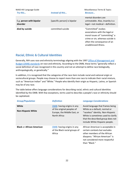| NIAID HIV Language Guide<br>Try this | Instead of this              | Miscellaneous Terms & Topics<br><b>Because</b>                                                                                                                                    |
|--------------------------------------|------------------------------|-----------------------------------------------------------------------------------------------------------------------------------------------------------------------------------|
| E.g. person with bipolar<br>disorder | [specific person] is bipolar | mental disorders are<br>untreatable. Also, insanity is a<br>legal—not medical—definition.                                                                                         |
| died by suicide                      | committed suicide            | "Committed" evokes<br>associations with the legal or<br>moral issues of "committing" a<br>crime or sin, whereas suicide is<br>often the consequence of an<br>unaddressed illness. |

# Racial, Ethnic & Cultural Identities

Generally, NIH uses race and ethnicity terminology aligning with the 1997 [Office of Management and](https://www.census.gov/topics/population/race/about.html)  [Budget \(OMB\) standards](https://www.census.gov/topics/population/race/about.html) on race and ethnicity. According to the OMB, these terms "generally reflect a social definition of race recognized in this country and not an attempt to define race biologically, anthropologically, or genetically."

In addition, it is recognized that the categories of the race item include racial and national origin or sociocultural groups. People may choose to report more than one race to indicate their racial mixture, such as "American Indian" and "White." People who identify their origin as Hispanic, Latino, or Spanish may be of any race.

The table below offers language considerations for describing racial, ethnic and cultural identities identified by the OMB. With few exceptions, terms used to describe a people's race or ethnicity should be capitalized.

| <b>Group/Population</b>            | <b>Definition</b>                                                                                       | <b>Language Considerations</b>                                                                                                                                                                                      |
|------------------------------------|---------------------------------------------------------------------------------------------------------|---------------------------------------------------------------------------------------------------------------------------------------------------------------------------------------------------------------------|
| White<br><b>Non-Hispanic White</b> | OMB: having origins in any<br>of the original peoples of<br>Europe, the Middle East, or<br>North Africa | Avoid language that frames being<br>White as a default, normal or<br>"raceless" identity. Non-Hispanic<br>White is sometimes used to clarify<br>that the described group does not<br>include White Hispanic people. |
| <b>Black or African American</b>   | OMB: having origins in any<br>of the Black racial groups of<br>Africa                                   | African American is acceptable in<br>certain contexts but excludes<br>other members of the African<br>diaspora. "African American" is<br>not considered more respectful<br>than "Black."                            |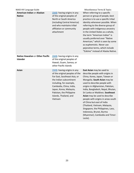| NIAID HIV Language Guide                            |                                                                                                                                                                                                                                                                           | Miscellaneous Terms & Topics                                                                                                                                                                                                                                                                                                                                                                                                                                                                                                     |
|-----------------------------------------------------|---------------------------------------------------------------------------------------------------------------------------------------------------------------------------------------------------------------------------------------------------------------------------|----------------------------------------------------------------------------------------------------------------------------------------------------------------------------------------------------------------------------------------------------------------------------------------------------------------------------------------------------------------------------------------------------------------------------------------------------------------------------------------------------------------------------------|
| American Indian or Alaskan<br><b>Native</b>         | OMB: having origins in any<br>of the original peoples of<br>North or South America<br>(including Central America)<br>and who maintains tribal<br>affiliation or community<br>attachment                                                                                   | When referring to a specific<br>person or group of people, best<br>practice is to use a specific tribal<br>identity whenever possible. When<br>referring to the diverse group of<br>people with indigenous ancestry<br>in the United States as a whole,<br>the term "American Indian" is<br>usually preferred over "Native<br>American," which is seen by some<br>as euphemistic. Never use<br>pejorative terms, which include<br>"Eskimo" instead of Alaska Native.                                                             |
| Native Hawaiian or Other Pacific<br><b>Islander</b> | OMB: having origins in any<br>of the original peoples of<br>Hawaii, Guam, Samoa, or<br>other Pacific Islands                                                                                                                                                              |                                                                                                                                                                                                                                                                                                                                                                                                                                                                                                                                  |
| <b>Asian</b>                                        | OMB: having origins in any<br>of the original peoples of the<br>Far East, Southeast Asia, or<br>the Indian subcontinent<br>including, for example,<br>Cambodia, China, India,<br>Japan, Korea, Malaysia,<br>Pakistan, the Philippine<br>Islands, Thailand, and<br>Vietnam | East Asian may be used to<br>describe people with origins in<br>China, Korea, Japan, Taiwan or<br>Mongolia. South Asian may be<br>used to describe people with<br>origins in Afghanistan, Pakistan,<br>India, Bangladesh, Nepal, Bhutan,<br>Sri Lanka or Maldives. Southeast<br>Asian may be used to describe<br>people with origins in areas south<br>of China but east of India<br>(Thailand, Vietnam, Malaysia,<br>Singapore, the Philippines, Laos,<br>Indonesia, Brunei, Burma<br>(Myanmar), Cambodia and Timor-<br>Leste). |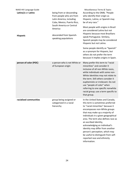| NIAID HIV Language Guide |                                                                                                                                                       | Miscellaneous Terms & Topics                                                                                                                                                                                                                                                                                                                                                                                                                                                    |
|--------------------------|-------------------------------------------------------------------------------------------------------------------------------------------------------|---------------------------------------------------------------------------------------------------------------------------------------------------------------------------------------------------------------------------------------------------------------------------------------------------------------------------------------------------------------------------------------------------------------------------------------------------------------------------------|
| Latino/a or Latinx       | being from or descending<br>from people who are from<br>Latin America, including<br>Cuba, Mexico, Puerto Rico,<br>South America or Central<br>America | According to the OMB, "People<br>who identify their origin as<br>Hispanic, Latino, or Spanish may<br>be of any race."<br>Most people with origins in Brazil                                                                                                                                                                                                                                                                                                                     |
| <b>Hispanic</b>          | descended from Spanish-<br>speaking populations                                                                                                       | are considered Latino but not<br>Hispanic because most Brazilians<br>speak Portuguese. Similary,<br>Spanish people may be considered<br>Hispanic but not Latino.                                                                                                                                                                                                                                                                                                                |
|                          |                                                                                                                                                       | Some people identify as "Spanish"<br>as a synonym for Hispanic, but<br>others do not prefer the term<br>because it implies origins in Spain.                                                                                                                                                                                                                                                                                                                                    |
| person of color (POC)    | a person who is not White or<br>of European origin                                                                                                    | Many prefer this term to "racial<br>minorities" and consider it<br>inclusive of all non-White races,<br>while individuals with some non-<br>White identities may not relate to<br>the term. Still others consider it<br>euphemistic or irrelevant. Do not<br>use "people of color" when<br>referring to one specific nonwhite<br>racial group; use a term specific to<br>that group.                                                                                            |
| racialized communities   | group being assigned or<br>categorized in a racial<br>hierarchy                                                                                       | In the United States and Canada,<br>this term is sometimes preferred<br>to "racial minorities" because it<br>encompasses non-White groups<br>that may make up a majority of<br>individuals in a given geographical<br>area. The term also defines race as<br>an ascribed identity,<br>acknowledging an individual's<br>identity may differ from another<br>person's perception, which may<br>be useful to distinguish from self-<br>reported race and ethnicity<br>information. |